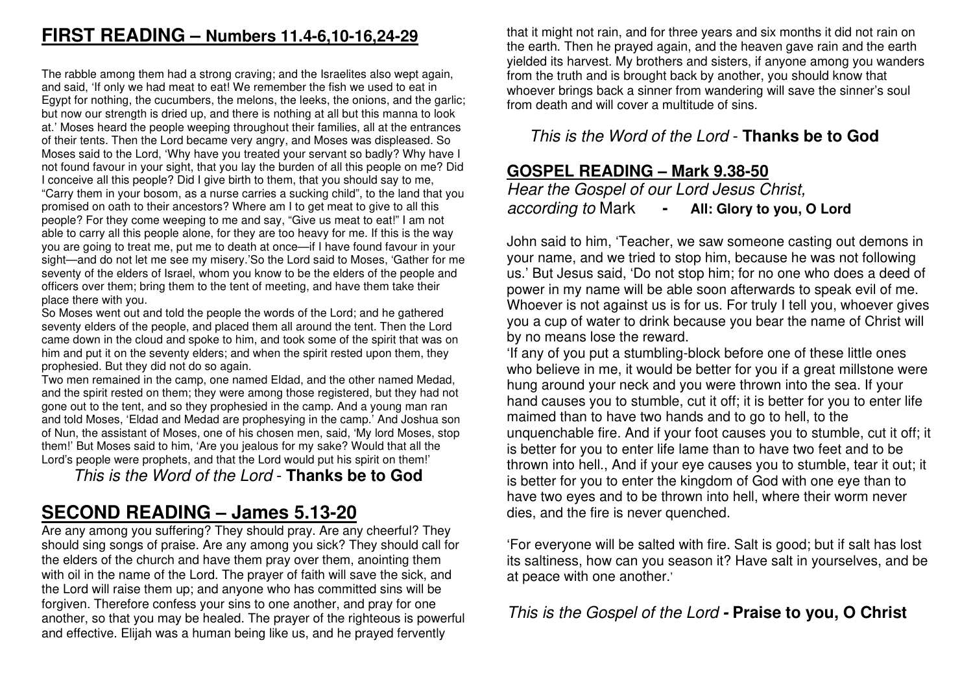## **FIRST READING – Numbers 11.4-6,10-16,24-29**

The rabble among them had a strong craving; and the Israelites also wept again, and said, 'If only we had meat to eat! We remember the fish we used to eat in Egypt for nothing, the cucumbers, the melons, the leeks, the onions, and the garlic; but now our strength is dried up, and there is nothing at all but this manna to look at.' Moses heard the people weeping throughout their families, all at the entrances of their tents. Then the Lord became very angry, and Moses was displeased. So Moses said to the Lord, 'Why have you treated your servant so badly? Why have I not found favour in your sight, that you lay the burden of all this people on me? Did I conceive all this people? Did I give birth to them, that you should say to me, "Carry them in your bosom, as a nurse carries a sucking child", to the land that you promised on oath to their ancestors? Where am I to get meat to give to all this people? For they come weeping to me and say, "Give us meat to eat!" I am not able to carry all this people alone, for they are too heavy for me. If this is the way you are going to treat me, put me to death at once—if I have found favour in your sight—and do not let me see my misery.'So the Lord said to Moses, 'Gather for me seventy of the elders of Israel, whom you know to be the elders of the people and officers over them; bring them to the tent of meeting, and have them take their place there with you.

 So Moses went out and told the people the words of the Lord; and he gathered seventy elders of the people, and placed them all around the tent. Then the Lord came down in the cloud and spoke to him, and took some of the spirit that was on him and put it on the seventy elders; and when the spirit rested upon them, they prophesied. But they did not do so again.

 Two men remained in the camp, one named Eldad, and the other named Medad, and the spirit rested on them; they were among those registered, but they had not gone out to the tent, and so they prophesied in the camp. And a young man ran and told Moses, 'Eldad and Medad are prophesying in the camp.' And Joshua son of Nun, the assistant of Moses, one of his chosen men, said, 'My lord Moses, stop them!' But Moses said to him, 'Are you jealous for my sake? Would that all the Lord's people were prophets, and that the Lord would put his spirit on them!'

This is the Word of the Lord - **Thanks be to God** 

# **SECOND READING – James 5.13-20**

 Are any among you suffering? They should pray. Are any cheerful? They should sing songs of praise. Are any among you sick? They should call for the elders of the church and have them pray over them, anointing them with oil in the name of the Lord. The prayer of faith will save the sick, and the Lord will raise them up; and anyone who has committed sins will be forgiven. Therefore confess your sins to one another, and pray for one another, so that you may be healed. The prayer of the righteous is powerful and effective. Elijah was a human being like us, and he prayed fervently

that it might not rain, and for three years and six months it did not rain on the earth. Then he prayed again, and the heaven gave rain and the earth yielded its harvest. My brothers and sisters, if anyone among you wanders from the truth and is brought back by another, you should know that whoever brings back a sinner from wandering will save the sinner's soul from death and will cover a multitude of sins.

### This is the Word of the Lord - **Thanks be to God**

## **GOSPEL READING – Mark 9.38-50**

#### Hear the Gospel of our Lord Jesus Christ, **according to Mark Glory to you, O Lord**

John said to him, 'Teacher, we saw someone casting out demons in your name, and we tried to stop him, because he was not following us.' But Jesus said, 'Do not stop him; for no one who does a deed of power in my name will be able soon afterwards to speak evil of me. Whoever is not against us is for us. For truly I tell you, whoever gives you a cup of water to drink because you bear the name of Christ will by no means lose the reward.

 'If any of you put a stumbling-block before one of these little ones who believe in me, it would be better for you if a great millstone were hung around your neck and you were thrown into the sea. If your hand causes you to stumble, cut it off; it is better for you to enter life maimed than to have two hands and to go to hell, to the unquenchable fire. And if your foot causes you to stumble, cut it off; it is better for you to enter life lame than to have two feet and to be thrown into hell., And if your eye causes you to stumble, tear it out; it is better for you to enter the kingdom of God with one eye than to have two eyes and to be thrown into hell, where their worm never dies, and the fire is never quenched.

'For everyone will be salted with fire. Salt is good; but if salt has lost its saltiness, how can you season it? Have salt in yourselves, and be at peace with one another.'

## This is the Gospel of the Lord **- Praise to you, O Christ**